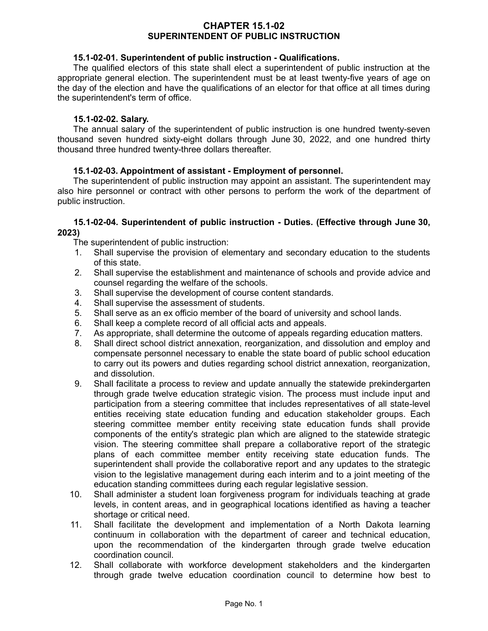### **CHAPTER 15.1-02 SUPERINTENDENT OF PUBLIC INSTRUCTION**

### **15.1-02-01. Superintendent of public instruction - Qualifications.**

The qualified electors of this state shall elect a superintendent of public instruction at the appropriate general election. The superintendent must be at least twenty-five years of age on the day of the election and have the qualifications of an elector for that office at all times during the superintendent's term of office.

### **15.1-02-02. Salary.**

The annual salary of the superintendent of public instruction is one hundred twenty-seven thousand seven hundred sixty-eight dollars through June 30, 2022, and one hundred thirty thousand three hundred twenty-three dollars thereafter.

### **15.1-02-03. Appointment of assistant - Employment of personnel.**

The superintendent of public instruction may appoint an assistant. The superintendent may also hire personnel or contract with other persons to perform the work of the department of public instruction.

### **15.1-02-04. Superintendent of public instruction - Duties. (Effective through June 30, 2023)**

The superintendent of public instruction:

- 1. Shall supervise the provision of elementary and secondary education to the students of this state.
- 2. Shall supervise the establishment and maintenance of schools and provide advice and counsel regarding the welfare of the schools.
- 3. Shall supervise the development of course content standards.
- 4. Shall supervise the assessment of students.
- 5. Shall serve as an ex officio member of the board of university and school lands.
- 6. Shall keep a complete record of all official acts and appeals.
- 7. As appropriate, shall determine the outcome of appeals regarding education matters.
- 8. Shall direct school district annexation, reorganization, and dissolution and employ and compensate personnel necessary to enable the state board of public school education to carry out its powers and duties regarding school district annexation, reorganization, and dissolution.
- 9. Shall facilitate a process to review and update annually the statewide prekindergarten through grade twelve education strategic vision. The process must include input and participation from a steering committee that includes representatives of all state-level entities receiving state education funding and education stakeholder groups. Each steering committee member entity receiving state education funds shall provide components of the entity's strategic plan which are aligned to the statewide strategic vision. The steering committee shall prepare a collaborative report of the strategic plans of each committee member entity receiving state education funds. The superintendent shall provide the collaborative report and any updates to the strategic vision to the legislative management during each interim and to a joint meeting of the education standing committees during each regular legislative session.
- 10. Shall administer a student loan forgiveness program for individuals teaching at grade levels, in content areas, and in geographical locations identified as having a teacher shortage or critical need.
- 11. Shall facilitate the development and implementation of a North Dakota learning continuum in collaboration with the department of career and technical education, upon the recommendation of the kindergarten through grade twelve education coordination council.
- 12. Shall collaborate with workforce development stakeholders and the kindergarten through grade twelve education coordination council to determine how best to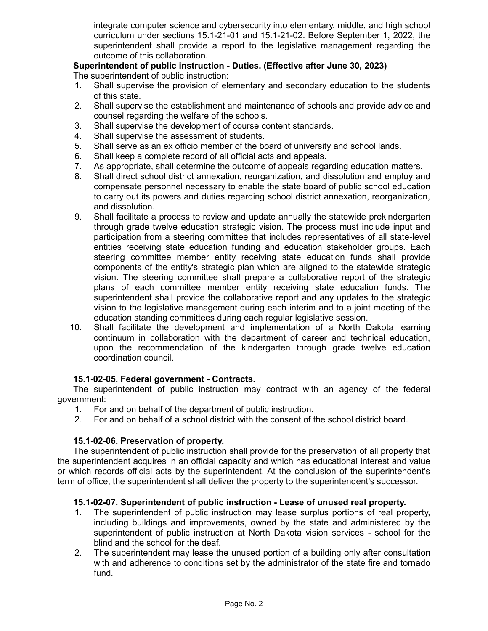integrate computer science and cybersecurity into elementary, middle, and high school curriculum under sections 15.1-21-01 and 15.1-21-02. Before September 1, 2022, the superintendent shall provide a report to the legislative management regarding the outcome of this collaboration.

# **Superintendent of public instruction - Duties. (Effective after June 30, 2023)**

The superintendent of public instruction:

- 1. Shall supervise the provision of elementary and secondary education to the students of this state.
- 2. Shall supervise the establishment and maintenance of schools and provide advice and counsel regarding the welfare of the schools.
- 3. Shall supervise the development of course content standards.
- 4. Shall supervise the assessment of students.
- 5. Shall serve as an ex officio member of the board of university and school lands.
- 6. Shall keep a complete record of all official acts and appeals.
- 7. As appropriate, shall determine the outcome of appeals regarding education matters.
- 8. Shall direct school district annexation, reorganization, and dissolution and employ and compensate personnel necessary to enable the state board of public school education to carry out its powers and duties regarding school district annexation, reorganization, and dissolution.
- 9. Shall facilitate a process to review and update annually the statewide prekindergarten through grade twelve education strategic vision. The process must include input and participation from a steering committee that includes representatives of all state-level entities receiving state education funding and education stakeholder groups. Each steering committee member entity receiving state education funds shall provide components of the entity's strategic plan which are aligned to the statewide strategic vision. The steering committee shall prepare a collaborative report of the strategic plans of each committee member entity receiving state education funds. The superintendent shall provide the collaborative report and any updates to the strategic vision to the legislative management during each interim and to a joint meeting of the education standing committees during each regular legislative session.
- 10. Shall facilitate the development and implementation of a North Dakota learning continuum in collaboration with the department of career and technical education, upon the recommendation of the kindergarten through grade twelve education coordination council.

# **15.1-02-05. Federal government - Contracts.**

The superintendent of public instruction may contract with an agency of the federal government:

- 1. For and on behalf of the department of public instruction.
- 2. For and on behalf of a school district with the consent of the school district board.

#### **15.1-02-06. Preservation of property.**

The superintendent of public instruction shall provide for the preservation of all property that the superintendent acquires in an official capacity and which has educational interest and value or which records official acts by the superintendent. At the conclusion of the superintendent's term of office, the superintendent shall deliver the property to the superintendent's successor.

#### **15.1-02-07. Superintendent of public instruction - Lease of unused real property.**

- 1. The superintendent of public instruction may lease surplus portions of real property, including buildings and improvements, owned by the state and administered by the superintendent of public instruction at North Dakota vision services - school for the blind and the school for the deaf.
- 2. The superintendent may lease the unused portion of a building only after consultation with and adherence to conditions set by the administrator of the state fire and tornado fund.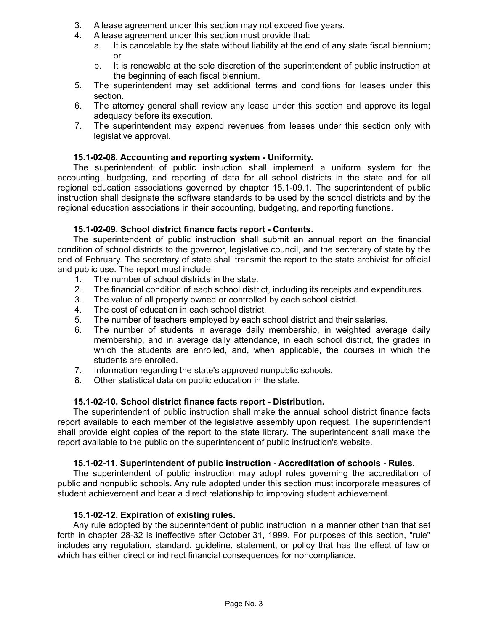- 3. A lease agreement under this section may not exceed five years.
- 4. A lease agreement under this section must provide that:
	- a. It is cancelable by the state without liability at the end of any state fiscal biennium; or
	- b. It is renewable at the sole discretion of the superintendent of public instruction at the beginning of each fiscal biennium.
- 5. The superintendent may set additional terms and conditions for leases under this section.
- 6. The attorney general shall review any lease under this section and approve its legal adequacy before its execution.
- 7. The superintendent may expend revenues from leases under this section only with legislative approval.

# **15.1-02-08. Accounting and reporting system - Uniformity.**

The superintendent of public instruction shall implement a uniform system for the accounting, budgeting, and reporting of data for all school districts in the state and for all regional education associations governed by chapter 15.1-09.1. The superintendent of public instruction shall designate the software standards to be used by the school districts and by the regional education associations in their accounting, budgeting, and reporting functions.

# **15.1-02-09. School district finance facts report - Contents.**

The superintendent of public instruction shall submit an annual report on the financial condition of school districts to the governor, legislative council, and the secretary of state by the end of February. The secretary of state shall transmit the report to the state archivist for official and public use. The report must include:

- 1. The number of school districts in the state.
- 2. The financial condition of each school district, including its receipts and expenditures.
- 3. The value of all property owned or controlled by each school district.
- 4. The cost of education in each school district.
- 5. The number of teachers employed by each school district and their salaries.
- 6. The number of students in average daily membership, in weighted average daily membership, and in average daily attendance, in each school district, the grades in which the students are enrolled, and, when applicable, the courses in which the students are enrolled.
- 7. Information regarding the state's approved nonpublic schools.
- 8. Other statistical data on public education in the state.

# **15.1-02-10. School district finance facts report - Distribution.**

The superintendent of public instruction shall make the annual school district finance facts report available to each member of the legislative assembly upon request. The superintendent shall provide eight copies of the report to the state library. The superintendent shall make the report available to the public on the superintendent of public instruction's website.

# **15.1-02-11. Superintendent of public instruction - Accreditation of schools - Rules.**

The superintendent of public instruction may adopt rules governing the accreditation of public and nonpublic schools. Any rule adopted under this section must incorporate measures of student achievement and bear a direct relationship to improving student achievement.

# **15.1-02-12. Expiration of existing rules.**

Any rule adopted by the superintendent of public instruction in a manner other than that set forth in chapter 28-32 is ineffective after October 31, 1999. For purposes of this section, "rule" includes any regulation, standard, guideline, statement, or policy that has the effect of law or which has either direct or indirect financial consequences for noncompliance.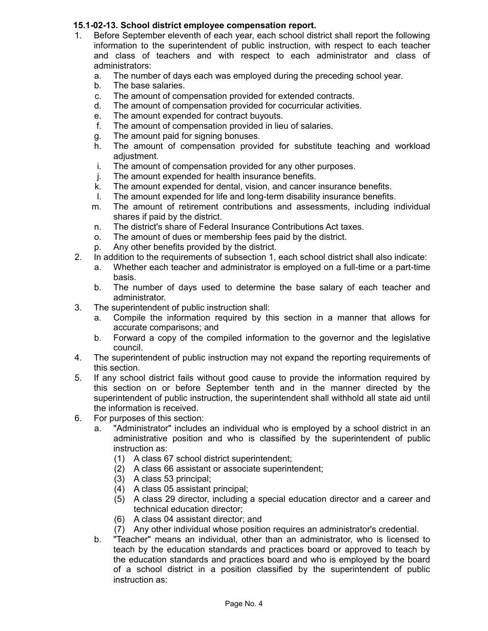# **15.1-02-13. School district employee compensation report.**

- 1. Before September eleventh of each year, each school district shall report the following information to the superintendent of public instruction, with respect to each teacher and class of teachers and with respect to each administrator and class of administrators:
	- a. The number of days each was employed during the preceding school year.
	- b. The base salaries.
	- c. The amount of compensation provided for extended contracts.
	- d. The amount of compensation provided for cocurricular activities.
	- e. The amount expended for contract buyouts.
	- f. The amount of compensation provided in lieu of salaries.
	- g. The amount paid for signing bonuses.
	- h. The amount of compensation provided for substitute teaching and workload adjustment.
	- i. The amount of compensation provided for any other purposes.
	- j. The amount expended for health insurance benefits.
	- k. The amount expended for dental, vision, and cancer insurance benefits.
	- l. The amount expended for life and long-term disability insurance benefits.
	- m. The amount of retirement contributions and assessments, including individual shares if paid by the district.
	- n. The district's share of Federal Insurance Contributions Act taxes.
	- o. The amount of dues or membership fees paid by the district.
	- p. Any other benefits provided by the district.
- 2. In addition to the requirements of subsection 1, each school district shall also indicate:
	- a. Whether each teacher and administrator is employed on a full-time or a part-time basis.
	- b. The number of days used to determine the base salary of each teacher and administrator.
- 3. The superintendent of public instruction shall:
	- a. Compile the information required by this section in a manner that allows for accurate comparisons; and
	- b. Forward a copy of the compiled information to the governor and the legislative council.
- 4. The superintendent of public instruction may not expand the reporting requirements of this section.
- 5. If any school district fails without good cause to provide the information required by this section on or before September tenth and in the manner directed by the superintendent of public instruction, the superintendent shall withhold all state aid until the information is received.
- 6. For purposes of this section:
	- a. "Administrator" includes an individual who is employed by a school district in an administrative position and who is classified by the superintendent of public instruction as:
		- (1) A class 67 school district superintendent;
		- (2) A class 66 assistant or associate superintendent;
		- (3) A class 53 principal;
		- (4) A class 05 assistant principal;
		- (5) A class 29 director, including a special education director and a career and technical education director;
		- (6) A class 04 assistant director; and
		- (7) Any other individual whose position requires an administrator's credential.
	- b. "Teacher" means an individual, other than an administrator, who is licensed to teach by the education standards and practices board or approved to teach by the education standards and practices board and who is employed by the board of a school district in a position classified by the superintendent of public instruction as: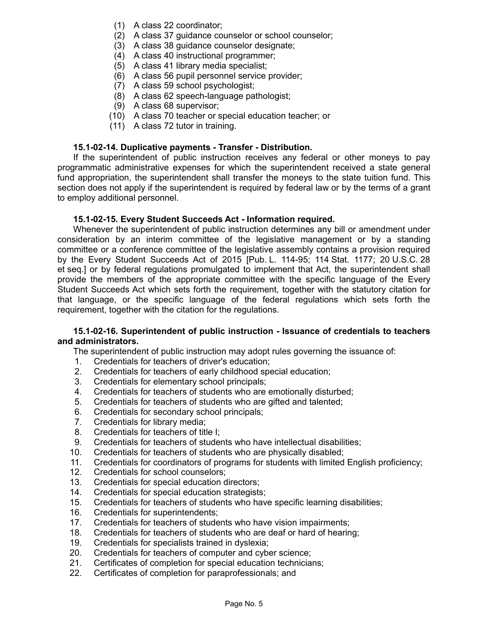- (1) A class 22 coordinator;
- (2) A class 37 guidance counselor or school counselor;
- (3) A class 38 guidance counselor designate;
- (4) A class 40 instructional programmer;
- (5) A class 41 library media specialist;
- (6) A class 56 pupil personnel service provider;
- (7) A class 59 school psychologist;
- (8) A class 62 speech-language pathologist;
- (9) A class 68 supervisor;
- (10) A class 70 teacher or special education teacher; or
- (11) A class 72 tutor in training.

### **15.1-02-14. Duplicative payments - Transfer - Distribution.**

If the superintendent of public instruction receives any federal or other moneys to pay programmatic administrative expenses for which the superintendent received a state general fund appropriation, the superintendent shall transfer the moneys to the state tuition fund. This section does not apply if the superintendent is required by federal law or by the terms of a grant to employ additional personnel.

### **15.1-02-15. Every Student Succeeds Act - Information required.**

Whenever the superintendent of public instruction determines any bill or amendment under consideration by an interim committee of the legislative management or by a standing committee or a conference committee of the legislative assembly contains a provision required by the Every Student Succeeds Act of 2015 [Pub. L. 114-95; 114 Stat. 1177; 20 U.S.C. 28 et seq.] or by federal regulations promulgated to implement that Act, the superintendent shall provide the members of the appropriate committee with the specific language of the Every Student Succeeds Act which sets forth the requirement, together with the statutory citation for that language, or the specific language of the federal regulations which sets forth the requirement, together with the citation for the regulations.

#### **15.1-02-16. Superintendent of public instruction - Issuance of credentials to teachers and administrators.**

The superintendent of public instruction may adopt rules governing the issuance of:

- 1. Credentials for teachers of driver's education;
- 2. Credentials for teachers of early childhood special education;
- 3. Credentials for elementary school principals;
- 4. Credentials for teachers of students who are emotionally disturbed;
- 5. Credentials for teachers of students who are gifted and talented;
- 6. Credentials for secondary school principals;
- 7. Credentials for library media;
- 8. Credentials for teachers of title I;
- 9. Credentials for teachers of students who have intellectual disabilities;
- 10. Credentials for teachers of students who are physically disabled;
- 11. Credentials for coordinators of programs for students with limited English proficiency;
- 12. Credentials for school counselors;
- 13. Credentials for special education directors;
- 14. Credentials for special education strategists;
- 15. Credentials for teachers of students who have specific learning disabilities;
- 16. Credentials for superintendents;
- 17. Credentials for teachers of students who have vision impairments;
- 18. Credentials for teachers of students who are deaf or hard of hearing;
- 19. Credentials for specialists trained in dyslexia;
- 20. Credentials for teachers of computer and cyber science;
- 21. Certificates of completion for special education technicians;
- 22. Certificates of completion for paraprofessionals; and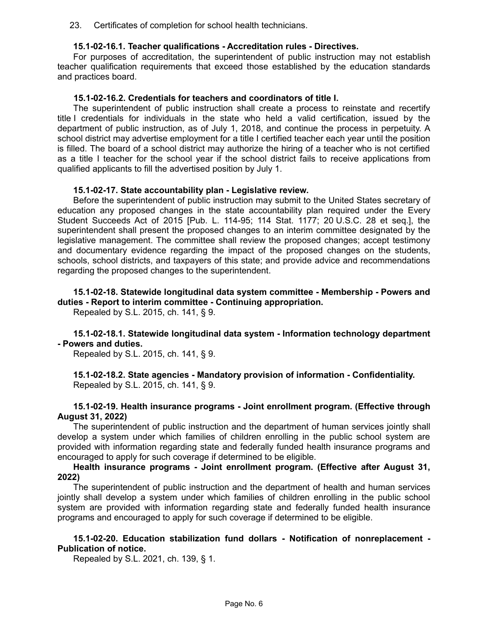23. Certificates of completion for school health technicians.

#### **15.1-02-16.1. Teacher qualifications - Accreditation rules - Directives.**

For purposes of accreditation, the superintendent of public instruction may not establish teacher qualification requirements that exceed those established by the education standards and practices board.

#### **15.1-02-16.2. Credentials for teachers and coordinators of title I.**

The superintendent of public instruction shall create a process to reinstate and recertify title I credentials for individuals in the state who held a valid certification, issued by the department of public instruction, as of July 1, 2018, and continue the process in perpetuity. A school district may advertise employment for a title I certified teacher each year until the position is filled. The board of a school district may authorize the hiring of a teacher who is not certified as a title I teacher for the school year if the school district fails to receive applications from qualified applicants to fill the advertised position by July 1.

#### **15.1-02-17. State accountability plan - Legislative review.**

Before the superintendent of public instruction may submit to the United States secretary of education any proposed changes in the state accountability plan required under the Every Student Succeeds Act of 2015 [Pub. L. 114-95; 114 Stat. 1177; 20 U.S.C. 28 et seq.], the superintendent shall present the proposed changes to an interim committee designated by the legislative management. The committee shall review the proposed changes; accept testimony and documentary evidence regarding the impact of the proposed changes on the students, schools, school districts, and taxpayers of this state; and provide advice and recommendations regarding the proposed changes to the superintendent.

### **15.1-02-18. Statewide longitudinal data system committee - Membership - Powers and duties - Report to interim committee - Continuing appropriation.**

Repealed by S.L. 2015, ch. 141, § 9.

**15.1-02-18.1. Statewide longitudinal data system - Information technology department - Powers and duties.**

Repealed by S.L. 2015, ch. 141, § 9.

**15.1-02-18.2. State agencies - Mandatory provision of information - Confidentiality.** Repealed by S.L. 2015, ch. 141, § 9.

#### **15.1-02-19. Health insurance programs - Joint enrollment program. (Effective through August 31, 2022)**

The superintendent of public instruction and the department of human services jointly shall develop a system under which families of children enrolling in the public school system are provided with information regarding state and federally funded health insurance programs and encouraged to apply for such coverage if determined to be eligible.

### **Health insurance programs - Joint enrollment program. (Effective after August 31, 2022)**

The superintendent of public instruction and the department of health and human services jointly shall develop a system under which families of children enrolling in the public school system are provided with information regarding state and federally funded health insurance programs and encouraged to apply for such coverage if determined to be eligible.

### **15.1-02-20. Education stabilization fund dollars - Notification of nonreplacement - Publication of notice.**

Repealed by S.L. 2021, ch. 139, § 1.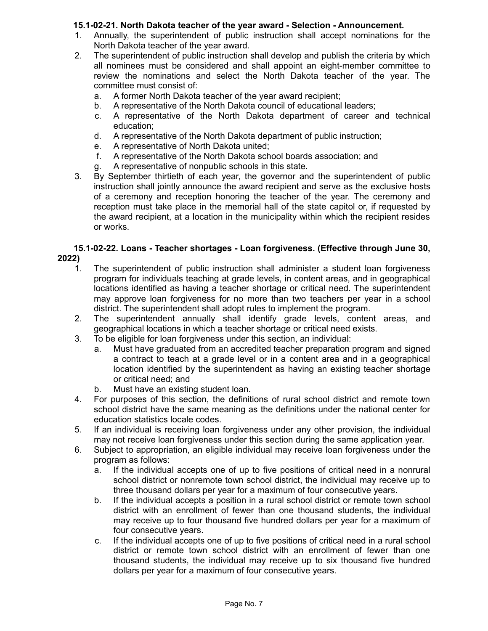# **15.1-02-21. North Dakota teacher of the year award - Selection - Announcement.**

- 1. Annually, the superintendent of public instruction shall accept nominations for the North Dakota teacher of the year award.
- 2. The superintendent of public instruction shall develop and publish the criteria by which all nominees must be considered and shall appoint an eight-member committee to review the nominations and select the North Dakota teacher of the year. The committee must consist of:
	- a. A former North Dakota teacher of the year award recipient;
	- b. A representative of the North Dakota council of educational leaders;
	- c. A representative of the North Dakota department of career and technical education;
	- d. A representative of the North Dakota department of public instruction;
	- e. A representative of North Dakota united;
	- f. A representative of the North Dakota school boards association; and
	- g. A representative of nonpublic schools in this state.
- 3. By September thirtieth of each year, the governor and the superintendent of public instruction shall jointly announce the award recipient and serve as the exclusive hosts of a ceremony and reception honoring the teacher of the year. The ceremony and reception must take place in the memorial hall of the state capitol or, if requested by the award recipient, at a location in the municipality within which the recipient resides or works.

# **15.1-02-22. Loans - Teacher shortages - Loan forgiveness. (Effective through June 30, 2022)**

- 1. The superintendent of public instruction shall administer a student loan forgiveness program for individuals teaching at grade levels, in content areas, and in geographical locations identified as having a teacher shortage or critical need. The superintendent may approve loan forgiveness for no more than two teachers per year in a school district. The superintendent shall adopt rules to implement the program.
- 2. The superintendent annually shall identify grade levels, content areas, and geographical locations in which a teacher shortage or critical need exists.
- 3. To be eligible for loan forgiveness under this section, an individual:
	- a. Must have graduated from an accredited teacher preparation program and signed a contract to teach at a grade level or in a content area and in a geographical location identified by the superintendent as having an existing teacher shortage or critical need; and
	- b. Must have an existing student loan.
- 4. For purposes of this section, the definitions of rural school district and remote town school district have the same meaning as the definitions under the national center for education statistics locale codes.
- 5. If an individual is receiving loan forgiveness under any other provision, the individual may not receive loan forgiveness under this section during the same application year.
- 6. Subject to appropriation, an eligible individual may receive loan forgiveness under the program as follows:
	- a. If the individual accepts one of up to five positions of critical need in a nonrural school district or nonremote town school district, the individual may receive up to three thousand dollars per year for a maximum of four consecutive years.
	- b. If the individual accepts a position in a rural school district or remote town school district with an enrollment of fewer than one thousand students, the individual may receive up to four thousand five hundred dollars per year for a maximum of four consecutive years.
	- c. If the individual accepts one of up to five positions of critical need in a rural school district or remote town school district with an enrollment of fewer than one thousand students, the individual may receive up to six thousand five hundred dollars per year for a maximum of four consecutive years.